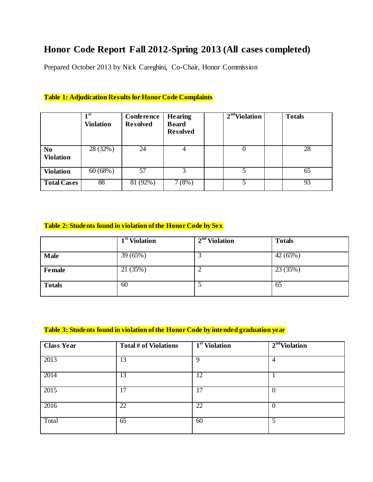# **Honor Code Report Fall 2012-Spring 2013 (All cases completed)**

Prepared October 2013 by Nick Careghini, Co-Chair, Honor Commission

|                                    | 1 <sup>st</sup><br><b>Violation</b> | Conference<br><b>Resolved</b> | <b>Hearing</b><br><b>Board</b><br><b>Resolved</b> | $2nd$ Violation | <b>Totals</b> |
|------------------------------------|-------------------------------------|-------------------------------|---------------------------------------------------|-----------------|---------------|
| N <sub>o</sub><br><b>Violation</b> | 28 (32%)                            | 24                            |                                                   | 0               | 28            |
| <b>Violation</b>                   | 60(68%)                             | 57                            |                                                   |                 | 65            |
| <b>Total Cases</b>                 | 88                                  | $81(92\%)$                    | 7(8%)                                             |                 | 93            |

#### **Table 1: Adjudication Results for Honor Code Complaints**

#### **Table 2: Students found in violation of the Honor Code by Sex**

|               | 1 <sup>st</sup> Violation | $2nd$ Violation | <b>Totals</b> |
|---------------|---------------------------|-----------------|---------------|
| <b>Male</b>   | 39 (65%)                  | ◠<br>لى         | $42(65\%)$    |
| Female        | 21(35%)                   | ി<br>∼          | 23(35%)       |
| <b>Totals</b> | 60                        |                 | 65            |

### **Table 3: Students found in violation of the Honor Code by intended graduation year**

| <b>Class Year</b> | Total # of Violations | $1st$ Violation | 2 <sup>nd</sup> Violation |
|-------------------|-----------------------|-----------------|---------------------------|
| 2013              | 13                    | 9               | $\overline{4}$            |
| 2014              | 13                    | 12              |                           |
| 2015              | 17                    | 17              | $\mathbf{0}$              |
| 2016              | 22                    | 22              | $\theta$                  |
| Total             | 65                    | 60              | 5                         |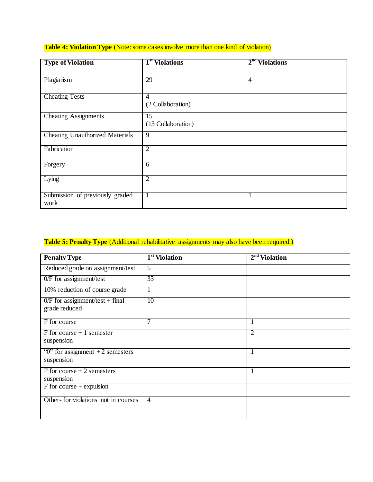### **Table 4: Violation Type** (Note: some cases involve more than one kind of violation)

| <b>Type of Violation</b>                | 1 <sup>st</sup> Violations | $2nd$ Violations |
|-----------------------------------------|----------------------------|------------------|
| Plagiarism                              | 29                         | $\overline{4}$   |
| <b>Cheating Tests</b>                   | 4                          |                  |
|                                         | (2 Collaboration)          |                  |
| <b>Cheating Assignments</b>             | 15<br>(13 Collaboration)   |                  |
| <b>Cheating Unauthorized Materials</b>  | 9                          |                  |
| Fabrication                             | $\overline{2}$             |                  |
| Forgery                                 | 6                          |                  |
| Lying                                   | $\overline{2}$             |                  |
| Submission of previously graded<br>work | $\overline{1}$             | л.               |

## **Table 5: Penalty Type** (Additional rehabilitative assignments may also have been required.)

| <b>Penalty Type</b>                                           | 1 <sup>st</sup> Violation | $2nd$ Violation |
|---------------------------------------------------------------|---------------------------|-----------------|
| Reduced grade on assignment/test                              | 5                         |                 |
| $0/F$ for assignment/test                                     | 33                        |                 |
| 10% reduction of course grade                                 | 1                         |                 |
| $\overline{0/F}$ for assignment/test + final<br>grade reduced | 10                        |                 |
| F for course                                                  | 7                         |                 |
| $F$ for course + 1 semester                                   |                           | $\overline{2}$  |
| suspension                                                    |                           |                 |
| " $0$ " for assignment +2 semesters                           |                           | 1               |
| suspension                                                    |                           |                 |
| $F$ for course + 2 semesters                                  |                           |                 |
| suspension                                                    |                           |                 |
| $F$ for course + expulsion                                    |                           |                 |
| Other-for violations not in courses                           | $\overline{4}$            |                 |
|                                                               |                           |                 |